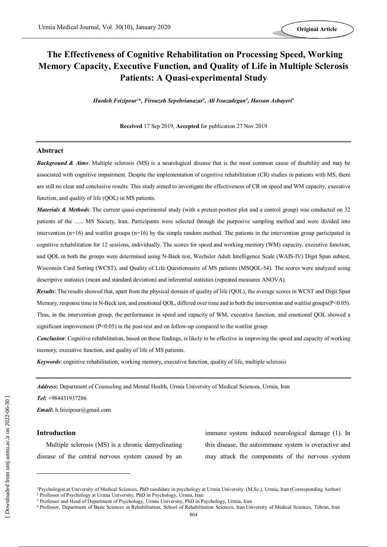# **The Effectiveness of Cognitive Rehabilitation on Processing Speed, Working Memory Capacity, Executive Function, and Quality of Life in Multiple Sclerosis Patients: A Quasi-experimental Study**

*Haedeh Feizipour1\*, Firouzeh Sepehrianazar<sup>2</sup> , Ali Issazadegan<sup>3</sup> , Hassan Ashayeri<sup>4</sup>*

**Received** 17 Sep 2019, **Accepted** for publication 27 Nov 2019

### **Abstract**

*Background & Aims*: Multiple sclerosis (MS) is a neurological disease that is the most common cause of disability and may be associated with cognitive impairment. Despite the implementation of cognitive rehabilitation (CR) studies in patients with MS, there are still no clear and conclusive results. This study aimed to investigate the effectiveness of CR on speed and WM capacity, executive function, and quality of life (QOL) in MS patients.

*Materials & Methods*: The current quasi-experimental study (with a pretest-posttest plot and a control group) was conducted on 32 patients of the ….. MS Society, Iran. Participants were selected through the purposive sampling method and were divided into intervention  $(n=16)$  and waitlist groups  $(n=16)$  by the simple random method. The patients in the intervention group participated in cognitive rehabilitation for 12 sessions, individually. The scores for speed and working memory (WM) capacity, executive function, and QOL in both the groups were determined using N-Back test, Wechsler Adult Intelligence Scale (WAIS-IV) Digit Span subtest, Wisconsin Card Sorting (WCST), and Quality of Life Questionnaire of MS patients (MSQOL-54). The scores were analyzed using descriptive statistics (mean and standard deviation) and inferential statistics (repeated measures ANOVA).

*Results*: The results showed that, apart from the physical domain of quality of life (QOL), the average scores in WCST and Digit Span Memory, response time in N-Beck test, and emotional QOL, differed over time and in both the intervention and waitlist groups(P<0.05). Thus, in the intervention group, the performance in speed and capacity of WM, executive function, and emotional QOL showed a significant improvement  $(P<0.05)$  in the post-test and on follow-up compared to the waitlist group.

*Conclusion*: Cognitive rehabilitation, based on these findings, is likely to be effective in improving the speed and capacity of working memory, executive function, and quality of life of MS patients.

*Keywords*: cognitive rehabilitation, working memory, executive function, quality of life, multiple sclerosis

*Address***:** Department of Counseling and Mental Health, Urmia University of Medical Sciences, Urmia, Iran

*Tel***:** +984431937286

*Email***:** h.feizipour@gmail.com

## **Introduction**

 $\overline{a}$ 

Multiple sclerosis (MS) is a chronic demyelinating disease of the central nervous system caused by an immune system induced neurological damage (1). In this disease, the autoimmune system is overactive and may attack the components of the nervous system

<sup>1</sup>Psychologist at University of Medical Sciences, PhD candidate in psychology at Urmia University (M.Sc.), Urmia, Iran (Corresponding Author) <sup>2</sup> Professor of Psychology at Urmia University, PhD in Psychology, Urmia, Iran

<sup>&</sup>lt;sup>3</sup> Professor and Head of Department of Psychology, Urmia University, PhD in Psychology, Urmia, Iran

<sup>4</sup> Professor, Department of Basic Sciences in Rehabilitation, School of Rehabilitation Sciences, Iran University of Medical Sciences, Tehran, Iran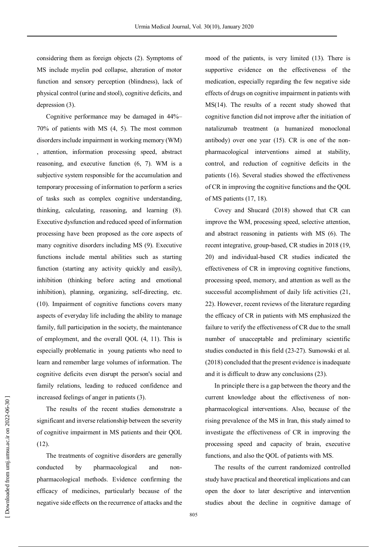considering them as foreign objects (2). Symptoms of MS include myelin pod collapse, alteration of motor function and sensory perception (blindness), lack of physical control (urine and stool), cognitive deficits, and depression (3).

Cognitive performance may be damaged in 44%– 70% of patients with MS (4, 5). The most common disorders include impairment in working memory (WM) , attention, information processing speed, abstract reasoning, and executive function (6, 7). WM is a subjective system responsible for the accumulation and temporary processing of information to perform a series of tasks such as complex cognitive understanding, thinking, calculating, reasoning, and learning (8). Executive dysfunction and reduced speed of information processing have been proposed as the core aspects of many cognitive disorders including MS (9). Executive functions include mental abilities such as starting function (starting any activity quickly and easily), inhibition (thinking before acting and emotional inhibition), planning, organizing, self-directing, etc. (10). Impairment of cognitive functions covers many aspects of everyday life including the ability to manage family, full participation in the society, the maintenance of employment, and the overall QOL (4, 11). This is especially problematic in young patients who need to learn and remember large volumes of information. The cognitive deficits even disrupt the person's social and family relations, leading to reduced confidence and increased feelings of anger in patients (3).

The results of the recent studies demonstrate a significant and inverse relationship between the severity of cognitive impairment in MS patients and their QOL (12).

The treatments of cognitive disorders are generally conducted by pharmacological and nonpharmacological methods. Evidence confirming the efficacy of medicines, particularly because of the negative side effects on the recurrence of attacks and the mood of the patients, is very limited (13). There is supportive evidence on the effectiveness of the medication, especially regarding the few negative side effects of drugs on cognitive impairment in patients with MS(14). The results of a recent study showed that cognitive function did not improve after the initiation of natalizumab treatment (a humanized monoclonal antibody) over one year (15). CR is one of the nonpharmacological interventions aimed at stability, control, and reduction of cognitive deficits in the patients (16). Several studies showed the effectiveness of CR in improving the cognitive functions and the QOL of MS patients (17, 18).

Covey and Shucard (2018) showed that CR can improve the WM, processing speed, selective attention, and abstract reasoning in patients with MS (6). The recent integrative, group-based, CR studies in 2018 (19, 20) and individual-based CR studies indicated the effectiveness of CR in improving cognitive functions, processing speed, memory, and attention as well as the successful accomplishment of daily life activities (21, 22). However, recent reviews of the literature regarding the efficacy of CR in patients with MS emphasized the failure to verify the effectiveness of CR due to the small number of unacceptable and preliminary scientific studies conducted in this field (23-27). Sumowski et al. (2018) concluded that the present evidence is inadequate and it is difficult to draw any conclusions (23).

In principle there is a gap between the theory and the current knowledge about the effectiveness of nonpharmacological interventions. Also, because of the rising prevalence of the MS in Iran, this study aimed to investigate the effectiveness of CR in improving the processing speed and capacity of brain, executive functions, and also the QOL of patients with MS.

The results of the current randomized controlled study have practical and theoretical implications and can open the door to later descriptive and intervention studies about the decline in cognitive damage of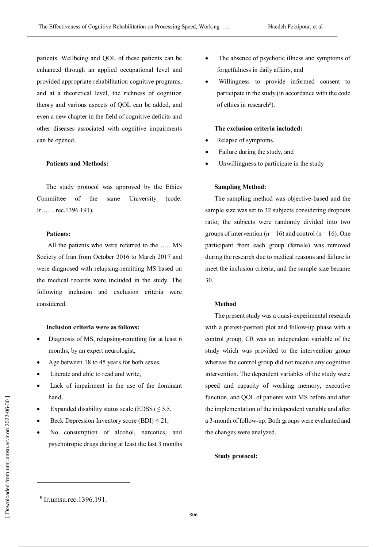patients. Wellbeing and QOL of these patients can be enhanced through an applied occupational level and provided appropriate rehabilitation cognitive programs, and at a theoretical level, the richness of cognition theory and various aspects of QOL can be added, and even a new chapter in the field of cognitive deficits and other diseases associated with cognitive impairments can be opened.

## **Patients and Methods:**

The study protocol was approved by the Ethics Committee of the same University (code: Ir…….rec.1396.191).

## **Patients:**

All the patients who were referred to the ….. MS Society of Iran from October 2016 to March 2017 and were diagnosed with relapsing-remitting MS based on the medical records were included in the study. The following inclusion and exclusion criteria were considered.

### **Inclusion criteria were as follows:**

- Diagnosis of MS, relapsing-remitting for at least 6 months, by an expert neurologist,
- Age between 18 to 45 years for both sexes,
- Literate and able to read and write,
- Lack of impairment in the use of the dominant hand,
- Expanded disability status scale (EDSS)  $\leq$  5.5,
- $\bullet$  Beck Depression Inventory score (BDI)  $\leq$  21,
- No consumption of alcohol, narcotics, and psychotropic drugs during at least the last 3 months
- The absence of psychotic illness and symptoms of forgetfulness in daily affairs, and
- Willingness to provide informed consent to participate in the study (in accordance with the code of ethics in research<sup>5</sup>).

### **The exclusion criteria included:**

- Relapse of symptoms,
- Failure during the study, and
- Unwillingness to participate in the study

### **Sampling Method:**

The sampling method was objective-based and the sample size was set to 32 subjects considering dropouts ratio; the subjects were randomly divided into two groups of intervention ( $n = 16$ ) and control ( $n = 16$ ). One participant from each group (female) was removed during the research due to medical reasons and failure to meet the inclusion criteria, and the sample size became 30.

## **Method**

The present study was a quasi-experimental research with a pretest-posttest plot and follow-up phase with a control group. CR was an independent variable of the study which was provided to the intervention group whereas the control group did not receive any cognitive intervention. The dependent variables of the study were speed and capacity of working memory, executive function, and QOL of patients with MS before and after the implementation of the independent variable and after a 3-month of follow-up. Both groups were evaluated and the changes were analyzed.

### **Study protocol:**

 $\overline{a}$ 

 [<sup>\[</sup> Downloaded from umj.umsu.ac.ir on 202](http://umj.umsu.ac.ir/article-1-4688-fa.html)2-06-30 ] Downloaded from umj.umsu.ac.ir on 2022-06-30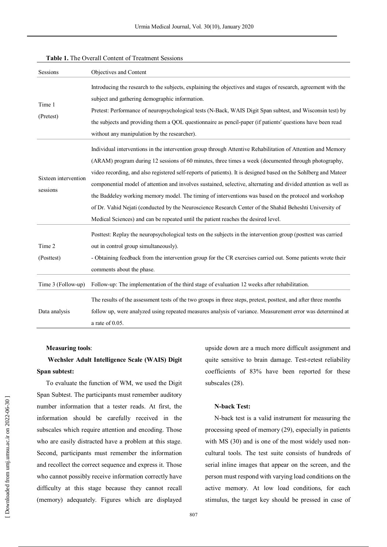| Sessions                         | Objectives and Content                                                                                                                                                                                                                                                                                                                                                                                                                                                                                                                                                                                                                                                                                                                                              |
|----------------------------------|---------------------------------------------------------------------------------------------------------------------------------------------------------------------------------------------------------------------------------------------------------------------------------------------------------------------------------------------------------------------------------------------------------------------------------------------------------------------------------------------------------------------------------------------------------------------------------------------------------------------------------------------------------------------------------------------------------------------------------------------------------------------|
| Time 1<br>(Pretest)              | Introducing the research to the subjects, explaining the objectives and stages of research, agreement with the<br>subject and gathering demographic information.<br>Pretest: Performance of neuropsychological tests (N-Back, WAIS Digit Span subtest, and Wisconsin test) by<br>the subjects and providing them a QOL questionnaire as pencil-paper (if patients' questions have been read<br>without any manipulation by the researcher).                                                                                                                                                                                                                                                                                                                         |
| Sixteen intervention<br>sessions | Individual interventions in the intervention group through Attentive Rehabilitation of Attention and Memory<br>(ARAM) program during 12 sessions of 60 minutes, three times a week (documented through photography,<br>video recording, and also registered self-reports of patients). It is designed based on the Sohlberg and Mateer<br>componential model of attention and involves sustained, selective, alternating and divided attention as well as<br>the Baddeley working memory model. The timing of interventions was based on the protocol and workshop<br>of Dr. Vahid Nejati (conducted by the Neuroscience Research Center of the Shahid Beheshti University of<br>Medical Sciences) and can be repeated until the patient reaches the desired level. |
| Time 2<br>(Posttest)             | Posttest: Replay the neuropsychological tests on the subjects in the intervention group (posttest was carried<br>out in control group simultaneously).<br>- Obtaining feedback from the intervention group for the CR exercises carried out. Some patients wrote their<br>comments about the phase.                                                                                                                                                                                                                                                                                                                                                                                                                                                                 |
| Time 3 (Follow-up)               | Follow-up: The implementation of the third stage of evaluation 12 weeks after rehabilitation.                                                                                                                                                                                                                                                                                                                                                                                                                                                                                                                                                                                                                                                                       |
| Data analysis                    | The results of the assessment tests of the two groups in three steps, pretest, posttest, and after three months<br>follow up, were analyzed using repeated measures analysis of variance. Measurement error was determined at<br>a rate of $0.05$ .                                                                                                                                                                                                                                                                                                                                                                                                                                                                                                                 |

#### **Table 1.** The Overall Content of Treatment Sessions

### **Measuring tools**:

## **Wechsler Adult Intelligence Scale (WAIS) Digit Span subtest:**

To evaluate the function of WM, we used the Digit Span Subtest. The participants must remember auditory number information that a tester reads. At first, the information should be carefully received in the subscales which require attention and encoding. Those who are easily distracted have a problem at this stage. Second, participants must remember the information and recollect the correct sequence and express it. Those who cannot possibly receive information correctly have difficulty at this stage because they cannot recall (memory) adequately. Figures which are displayed

upside down are a much more difficult assignment and quite sensitive to brain damage. Test-retest reliability coefficients of 83% have been reported for these subscales (28).

### **N-back Test:**

N-back test is a valid instrument for measuring the processing speed of memory (29), especially in patients with MS (30) and is one of the most widely used noncultural tools. The test suite consists of hundreds of serial inline images that appear on the screen, and the person must respond with varying load conditions on the active memory. At low load conditions, for each stimulus, the target key should be pressed in case of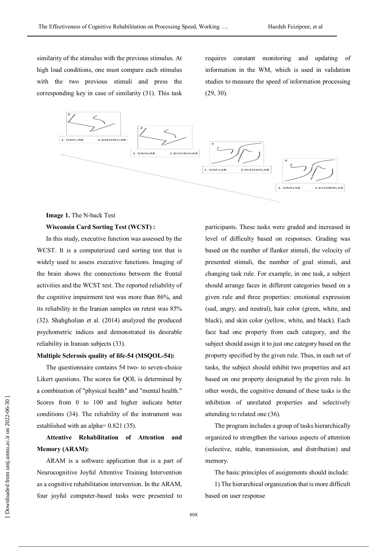similarity of the stimulus with the previous stimulus. At high load conditions, one must compare each stimulus with the two previous stimuli and press the corresponding key in case of similarity (31). This task

requires constant monitoring and updating of information in the WM, which is used in validation studies to measure the speed of information processing (29, 30).



### **Image 1.** The N-back Test

## **Wisconsin Card Sorting Test (WCST) :**

In this study, executive function was assessed by the WCST. It is a computerized card sorting test that is widely used to assess executive functions. Imaging of the brain shows the connections between the frontal activities and the WCST test. The reported reliability of the cognitive impairment test was more than 86%, and its reliability in the Iranian samples on retest was 85% (32). Shahgholian et al. (2014) analyzed the produced psychometric indices and demonstrated its desirable reliability in Iranian subjects (33).

### **Multiple Sclerosis quality of life-54 (MSQOL-54):**

The questionnaire contains 54 two- to seven-choice Likert questions. The scores for QOL is determined by a combination of "physical health" and "mental health." Scores from 0 to 100 and higher indicate better conditions (34). The reliability of the instrument was established with an alpha= 0.821 (35).

## **Attentive Rehabilitation of Attention and Memory (ARAM):**

ARAM is a software application that is a part of Neurocognitive Joyful Attentive Training Intervention as a cognitive rehabilitation intervention. In the ARAM, four joyful computer-based tasks were presented to

participants. These tasks were graded and increased in level of difficulty based on responses. Grading was based on the number of flanker stimuli, the velocity of presented stimuli, the number of goal stimuli, and changing task rule. For example, in one task, a subject should arrange faces in different categories based on a given rule and three properties: emotional expression (sad, angry, and neutral), hair color (green, white, and black), and skin color (yellow, white, and black). Each face had one property from each category, and the subject should assign it to just one category based on the property specified by the given rule. Thus, in each set of tasks, the subject should inhibit two properties and act based on one property designated by the given rule. In other words, the cognitive demand of these tasks is the inhibition of unrelated properties and selectively attending to related one (36).

The program includes a group of tasks hierarchically organized to strengthen the various aspects of attention (selective, stable, transmission, and distribution) and memory.

The basic principles of assignments should include:

1) The hierarchical organization that is more difficult based on user response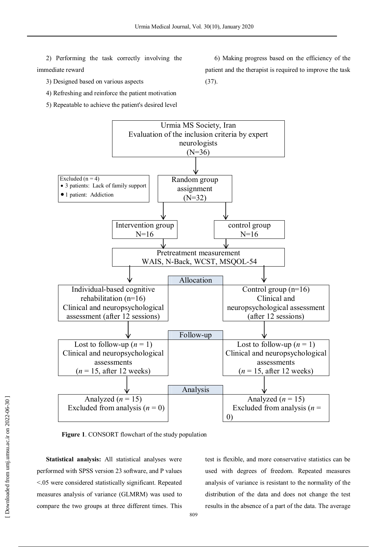(37).

2) Performing the task correctly involving the immediate reward

3) Designed based on various aspects

4) Refreshing and reinforce the patient motivation

5) Repeatable to achieve the patient's desired level

Urmia MS Society, Iran Evaluation of the inclusion criteria by expert neurologists  $(N=36)$ Excluded  $(n = 4)$  3 patients: Lack of family support 1 patient: Addiction Random group assignment (N=32) Intervention group  $N=16$ control group  $N=16$ Pretreatment measurement WAIS, N-Back, WCST, MSQOL-54 Allocation Individual-based cognitive rehabilitation (n=16) Clinical and neuropsychological assessment (after 12 sessions) Control group (n=16) Clinical and neuropsychological assessment (after 12 sessions) Follow-up Lost to follow-up  $(n = 1)$ Clinical and neuropsychological assessments  $(n = 15$ , after 12 weeks) Lost to follow-up  $(n = 1)$ Clinical and neuropsychological assessments  $(n = 15$ , after 12 weeks) Analysis Analyzed  $(n = 15)$ Excluded from analysis  $(n = 0)$ Analyzed  $(n = 15)$ Excluded from analysis (*n* = 0)

**Figure 1**. CONSORT flowchart of the study population

**Statistical analysis:** All statistical analyses were performed with SPSS version 23 software, and P values <.05 were considered statistically significant. Repeated measures analysis of variance (GLMRM) was used to compare the two groups at three different times. This

test is flexible, and more conservative statistics can be used with degrees of freedom. Repeated measures analysis of variance is resistant to the normality of the distribution of the data and does not change the test results in the absence of a part of the data. The average

6) Making progress based on the efficiency of the patient and the therapist is required to improve the task

 [\[ Downloaded from umj.umsu.ac.ir on 202](http://umj.umsu.ac.ir/article-1-4688-fa.html)2-06-30 ] Downloaded from umj.umsu.ac.ir on 2022-06-30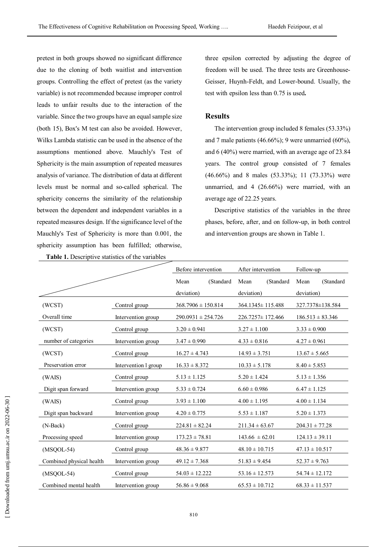pretest in both groups showed no significant difference due to the cloning of both waitlist and intervention groups. Controlling the effect of pretest (as the variety variable) is not recommended because improper control leads to unfair results due to the interaction of the variable. Since the two groups have an equal sample size (both 15), Box's M test can also be avoided. However, Wilks Lambda statistic can be used in the absence of the assumptions mentioned above. Mauchly's Test of Sphericity is the main assumption of repeated measures analysis of variance. The distribution of data at different levels must be normal and so-called spherical. The sphericity concerns the similarity of the relationship between the dependent and independent variables in a repeated measures design. If the significance level of the Mauchly's Test of Sphericity is more than 0.001, the sphericity assumption has been fulfilled; otherwise,

**Table 1.** Descriptive statistics of the variables

three epsilon corrected by adjusting the degree of freedom will be used. The three tests are Greenhouse-Geisser, Huynh-Feldt, and Lower-bound. Usually, the test with epsilon less than 0.75 is used**.**

## **Results**

The intervention group included 8 females (53.33%) and 7 male patients  $(46.66\%)$ ; 9 were unmarried  $(60\%)$ . and 6 (40%) were married, with an average age of 23.84 years. The control group consisted of 7 females (46.66%) and 8 males (53.33%); 11 (73.33%) were unmarried, and 4 (26.66%) were married, with an average age of 22.25 years.

Descriptive statistics of the variables in the three phases, before, after, and on follow-up, in both control and intervention groups are shown in Table 1.

|                                              |                      | Before intervention<br>After intervention |           |                        | Follow-up |                      |           |
|----------------------------------------------|----------------------|-------------------------------------------|-----------|------------------------|-----------|----------------------|-----------|
|                                              |                      | Mean                                      | (Standard | Mean                   | (Standard | Mean                 | (Standard |
|                                              |                      | deviation)                                |           | deviation)             |           | deviation)           |           |
| (WCST)                                       | Control group        | $368.7906 \pm 150.814$                    |           | $364.1345 \pm 115.488$ |           | 327.7378±138.584     |           |
| Overall time                                 | Intervention group   | $290.0931 \pm 254.726$                    |           | 226.7257 ± 172.466     |           | $186.513 \pm 83.346$ |           |
| (WCST)                                       | Control group        | $3.20 \pm 0.941$                          |           | $3.27 \pm 1.100$       |           | $3.33 \pm 0.900$     |           |
| number of categories                         | Intervention group   | $3.47 \pm 0.990$                          |           | $4.33 \pm 0.816$       |           | $4.27 \pm 0.961$     |           |
| (WCST)                                       | Control group        | $16.27 \pm 4.743$                         |           | $14.93 \pm 3.751$      |           | $13.67 \pm 5.665$    |           |
| Preservation error                           | Intervention 1 group | $16.33 \pm 8.372$                         |           | $10.33 \pm 5.178$      |           | $8.40 \pm 5.853$     |           |
| (WAIS)                                       | Control group        | $5.13 \pm 1.125$                          |           | $5.20 \pm 1.424$       |           | $5.13 \pm 1.356$     |           |
| Digit span forward                           | Intervention group   | $5.33 \pm 0.724$                          |           | $6.60 \pm 0.986$       |           | $6.47 \pm 1.125$     |           |
| (WAIS)                                       | Control group        | $3.93 \pm 1.100$                          |           | $4.00 \pm 1.195$       |           | $4.00 \pm 1.134$     |           |
| Digit span backward                          | Intervention group   | $4.20 \pm 0.775$                          |           | $5.53 \pm 1.187$       |           | $5.20 \pm 1.373$     |           |
| $(N-Back)$                                   | Control group        | $224.81 \pm 82.24$                        |           | $211.34 \pm 63.67$     |           | $204.31 \pm 77.28$   |           |
| Processing speed                             | Intervention group   | $173.23 \pm 78.81$                        |           | $143.66 \pm 62.01$     |           | $124.13 \pm 39.11$   |           |
| $(MSQOL-54)$                                 | Control group        | $48.36 \pm 9.877$                         |           | $48.10 \pm 10.715$     |           | $47.13 \pm 10.517$   |           |
| Combined physical health                     | Intervention group   | $49.12 \pm 7.368$                         |           | $51.83 \pm 9.454$      |           | $52.37 \pm 9.763$    |           |
| $(MSQOL-54)$                                 | Control group        | $54.03 \pm 12.222$                        |           | $53.16 \pm 12.573$     |           | $54.74 \pm 12.172$   |           |
| Combined mental health<br>Intervention group |                      | $56.86 \pm 9.068$                         |           | $65.53 \pm 10.712$     |           | $68.33 \pm 11.537$   |           |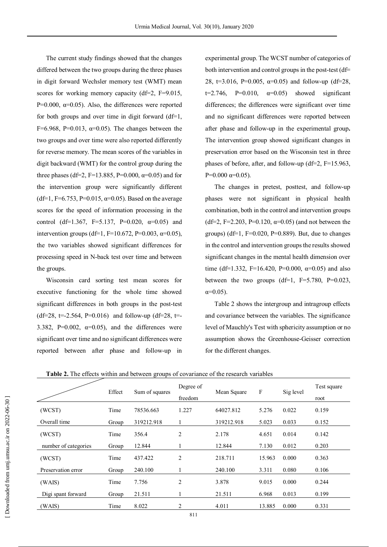The current study findings showed that the changes differed between the two groups during the three phases in digit forward Wechsler memory test (WMT) mean scores for working memory capacity (df=2, F=9.015, P=0.000,  $\alpha$ =0.05). Also, the differences were reported for both groups and over time in digit forward  $(df=1$ , F=6.968, P=0.013,  $\alpha$ =0.05). The changes between the two groups and over time were also reported differently for reverse memory. The mean scores of the variables in digit backward (WMT) for the control group during the three phases (df=2, F=13.885, P=0.000,  $\alpha$ =0.05) and for the intervention group were significantly different (df=1, F=6.753, P=0.015,  $\alpha$ =0.05). Based on the average scores for the speed of information processing in the control (df=1.367, F=5.137, P=0.020,  $\alpha$ =0.05) and intervention groups (df=1, F=10.672, P=0.003, α=0.05), the two variables showed significant differences for processing speed in N-back test over time and between the groups.

Wisconsin card sorting test mean scores for executive functioning for the whole time showed significant differences in both groups in the post-test  $(df=28, t=.2.564, P=0.016)$  and follow-up  $(df=28, t=.$ 3.382, P=0.002,  $\alpha$ =0.05), and the differences were significant over time and no significant differences were reported between after phase and follow-up in

experimental group. The WCST number of categories of both intervention and control groups in the post-test (df= 28, t=3.016, P=0.005,  $\alpha$ =0.05) and follow-up (df=28,  $t=2.746$ ,  $P=0.010$ ,  $\alpha=0.05$ ) showed significant differences; the differences were significant over time and no significant differences were reported between after phase and follow-up in the experimental group**.** The intervention group showed significant changes in preservation error based on the Wisconsin test in three phases of before, after, and follow-up (df=2,  $F=15.963$ , P=0.000  $\alpha$ =0.05).

The changes in pretest, posttest, and follow-up phases were not significant in physical health combination, both in the control and intervention groups (df=2, F=2.203, P=0.120,  $\alpha$ =0.05) (and not between the groups) ( $df=1$ ,  $F=0.020$ ,  $P=0.889$ ). But, due to changes in the control and intervention groups the results showed significant changes in the mental health dimension over time (df=1.332, F=16.420, P=0.000,  $\alpha$ =0.05) and also between the two groups  $(df=1, F=5.780, P=0.023,$  $α=0.05$ ).

Table 2 shows the intergroup and intragroup effects and covariance between the variables. The significance level of Mauchly's Test with sphericity assumption or no assumption shows the Greenhouse-Geisser correction for the different changes.

|                      | Effect |                | Degree of      |             | $\boldsymbol{F}$ | Sig level | Test square |
|----------------------|--------|----------------|----------------|-------------|------------------|-----------|-------------|
|                      |        | Sum of squares | freedom        | Mean Square |                  |           | root        |
| (WCST)               | Time   | 78536.663      | 1.227          | 64027.812   | 5.276            | 0.022     | 0.159       |
| Overall time         | Group  | 319212.918     |                | 319212.918  | 5.023            | 0.033     | 0.152       |
| (WCST)               | Time   | 356.4          | 2              | 2.178       | 4.651            | 0.014     | 0.142       |
| number of categories | Group  | 12.844         | 1              | 12.844      | 7.130            | 0.012     | 0.203       |
| (WCST)               | Time   | 437.422        | $\overline{2}$ | 218.711     | 15.963           | 0.000     | 0.363       |
| Preservation error   | Group  | 240.100        |                | 240.100     | 3.311            | 0.080     | 0.106       |
| (WAIS)               | Time   | 7.756          | 2              | 3.878       | 9.015            | 0.000     | 0.244       |
| Digi spant forward   | Group  | 21.511         |                | 21.511      | 6.968            | 0.013     | 0.199       |
| (WAIS)               | Time   | 8.022          | 2              | 4.011       | 13.885           | 0.000     | 0.331       |

**Table 2.** The effects within and between groups of covariance of the research variables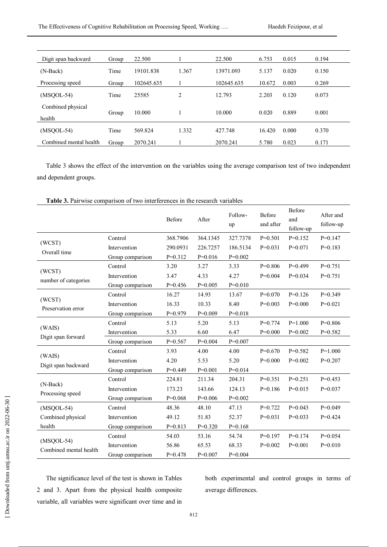| Digit span backward    | Group | 22.500     |       | 22.500     | 6.753  | 0.015 | 0.194 |  |
|------------------------|-------|------------|-------|------------|--------|-------|-------|--|
| $(N-Back)$             | Time  | 19101.838  | 1.367 | 13971.093  | 5.137  | 0.020 | 0.150 |  |
| Processing speed       | Group | 102645.635 |       | 102645.635 | 10.672 | 0.003 | 0.269 |  |
| $(MSQOL-54)$           | Time  | 25585      | 2     | 12.793     | 2.203  | 0.120 | 0.073 |  |
| Combined physical      |       |            |       |            |        |       |       |  |
| health                 | Group | 10.000     |       | 10.000     | 0.020  | 0.889 | 0.001 |  |
| $(MSOOL-54)$           | Time  | 569.824    | 1.332 | 427.748    | 16.420 | 0.000 | 0.370 |  |
| Combined mental health | Group | 2070.241   |       | 2070.241   | 5.780  | 0.023 | 0.171 |  |

Table 3 shows the effect of the intervention on the variables using the average comparison test of two independent and dependent groups.

|                                        |                  | Before    | After     | Follow-<br>up | Before<br>and after | Before<br>and<br>follow-up | After and<br>follow-up |
|----------------------------------------|------------------|-----------|-----------|---------------|---------------------|----------------------------|------------------------|
|                                        | Control          | 368.7906  | 364.1345  | 327.7378      | $P=0.501$           | $P=0.152$                  | $P=0.147$              |
| (WCST)<br>Overall time                 | Intervention     | 290.0931  | 226.7257  | 186.5134      | $P=0.031$           | $P=0.071$                  | $P=0.183$              |
|                                        | Group comparison | $P=0.312$ | $P=0.016$ | $P=0.002$     |                     |                            |                        |
|                                        | Control          | 3.20      | 3.27      | 3.33          | $P=0.806$           | $P=0.499$                  | $P=0.751$              |
| (WCST)                                 | Intervention     | 3.47      | 4.33      | 4.27          | $P=0.004$           | $P=0.034$                  | $P=0.751$              |
| number of categories                   | Group comparison | $P=0.456$ | $P=0.005$ | $P=0.010$     |                     |                            |                        |
|                                        | Control          | 16.27     | 14.93     | 13.67         | $P=0.070$           | $P=0.126$                  | $P=0.349$              |
| (WCST)<br>Preservation error           | Intervention     | 16.33     | 10.33     | 8.40          | $P=0.003$           | $P=0.000$                  | $P=0.021$              |
|                                        | Group comparison | $P=0.979$ | $P=0.009$ | $P=0.018$     |                     |                            |                        |
|                                        | Control          | 5.13      | 5.20      | 5.13          | $P=0.774$           | $P=1.000$                  | $P=0.806$              |
| (WAIS)                                 | Intervention     | 5.33      | 6.60      | 6.47          | $P=0.000$           | $P=0.002$                  | $P=0.582$              |
| Digit span forward                     | Group comparison | $P=0.567$ | $P=0.004$ | $P=0.007$     |                     |                            |                        |
|                                        | Control          | 3.93      | 4.00      | 4.00          | $P=0.670$           | $P=0.582$                  | $P=1.000$              |
| (WAIS)                                 | Intervention     | 4.20      | 5.53      | 5.20          | $P=0.000$           | $P=0.002$                  | $P=0.207$              |
| Digit span backward                    | Group comparison | $P=0.449$ | $P=0.001$ | $P=0.014$     |                     |                            |                        |
|                                        | Control          | 224.81    | 211.34    | 204.31        | $P=0.351$           | $P=0.251$                  | $P=0.453$              |
| (N-Back)<br>Processing speed           | Intervention     | 173.23    | 143.66    | 124.13        | $P=0.186$           | $P=0.015$                  | $P=0.037$              |
|                                        | Group comparison | $P=0.068$ | $P=0.006$ | $P=0.002$     |                     |                            |                        |
| $(MSQOL-54)$                           | Control          | 48.36     | 48.10     | 47.13         | $P=0.722$           | $P=0.043$                  | $P=0.049$              |
| Combined physical                      | Intervention     | 49.12     | 51.83     | 52.37         | $P=0.031$           | $P=0.033$                  | $P=0.424$              |
| health                                 | Group comparison | $P=0.813$ | $P=0.320$ | $P=0.168$     |                     |                            |                        |
| $(MSQOL-54)$<br>Combined mental health | Control          | 54.03     | 53.16     | 54.74         | $P=0.197$           | $P=0.174$                  | $P=0.054$              |
|                                        | Intervention     | 56.86     | 65.53     | 68.33         | $P=0.002$           | $P=0.001$                  | $P=0.010$              |
|                                        | Group comparison | $P=0.478$ | $P=0.007$ | $P=0.004$     |                     |                            |                        |

**Table 3.** Pairwise comparison of two interferences in the research variables

The significance level of the test is shown in Tables 2 and 3. Apart from the physical health composite variable, all variables were significant over time and in both experimental and control groups in terms of average differences.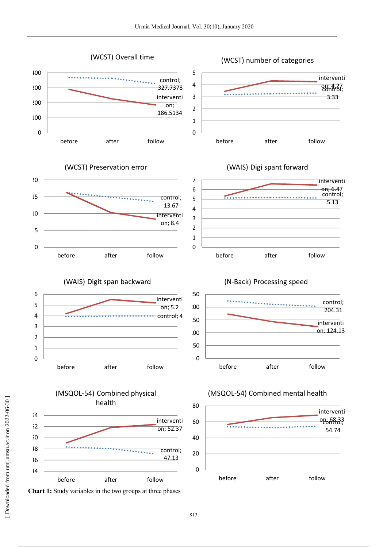(WCST) Overall time

(WCST) number of categories





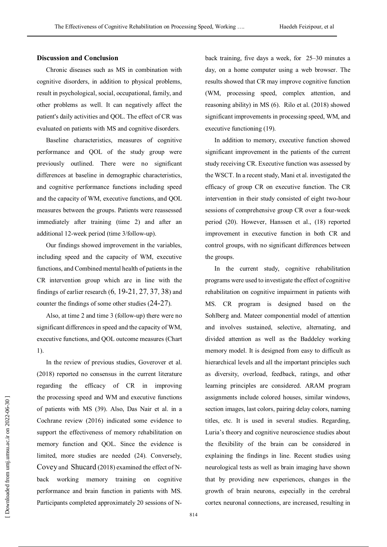## **Discussion and Conclusion**

Chronic diseases such as MS in combination with cognitive disorders, in addition to physical problems, result in psychological, social, occupational, family, and other problems as well. It can negatively affect the patient's daily activities and QOL. The effect of CR was evaluated on patients with MS and cognitive disorders.

Baseline characteristics, measures of cognitive performance and QOL of the study group were previously outlined. There were no significant differences at baseline in demographic characteristics, and cognitive performance functions including speed and the capacity of WM, executive functions, and QOL measures between the groups. Patients were reassessed immediately after training (time 2) and after an additional 12-week period (time 3/follow-up).

Our findings showed improvement in the variables, including speed and the capacity of WM, executive functions, and Combined mental health of patients in the CR intervention group which are in line with the findings of earlier research  $(6, 19-21, 27, 37, 38)$  and counter the findings of some other studies (24-27).

Also, at time 2 and time 3 (follow-up) there were no significant differences in speed and the capacity of WM, executive functions, and QOL outcome measures (Chart 1).

In the review of previous studies, Goverover et al. (2018) reported no consensus in the current literature regarding the efficacy of CR in improving the processing speed and WM and executive functions of patients with MS (39). Also, Das Nair et al. in a Cochrane review (2016) indicated some evidence to support the effectiveness of memory rehabilitation on memory function and QOL. Since the evidence is limited, more studies are needed (24). Conversely, Covey and Shucard (2018) examined the effect of Nback working memory training on cognitive performance and brain function in patients with MS. Participants completed approximately 20 sessions of N-

back training, five days a week, for 25–30 minutes a day, on a home computer using a web browser. The results showed that CR may improve cognitive function (WM, processing speed, complex attention, and reasoning ability) in MS (6). Rilo et al. (2018) showed significant improvements in processing speed, WM, and executive functioning (19).

In addition to memory, executive function showed significant improvement in the patients of the current study receiving CR. Executive function was assessed by the WSCT. In a recent study, Mani et al. investigated the efficacy of group CR on executive function. The CR intervention in their study consisted of eight two-hour sessions of comprehensive group CR over a four-week period (20). However, Hanssen et al., (18) reported improvement in executive function in both CR and control groups, with no significant differences between the groups.

In the current study, cognitive rehabilitation programs were used to investigate the effect of cognitive rehabilitation on cognitive impairment in patients with MS. CR program is designed based on the Sohlberg and. Mateer componential model of attention and involves sustained, selective, alternating, and divided attention as well as the Baddeley working memory model. It is designed from easy to difficult as hierarchical levels and all the important principles such as diversity, overload, feedback, ratings, and other learning principles are considered. ARAM program assignments include colored houses, similar windows, section images, last colors, pairing delay colors, naming titles, etc. It is used in several studies. Regarding, Luria's theory and cognitive neuroscience studies about the flexibility of the brain can be considered in explaining the findings in line. Recent studies using neurological tests as well as brain imaging have shown that by providing new experiences, changes in the growth of brain neurons, especially in the cerebral cortex neuronal connections, are increased, resulting in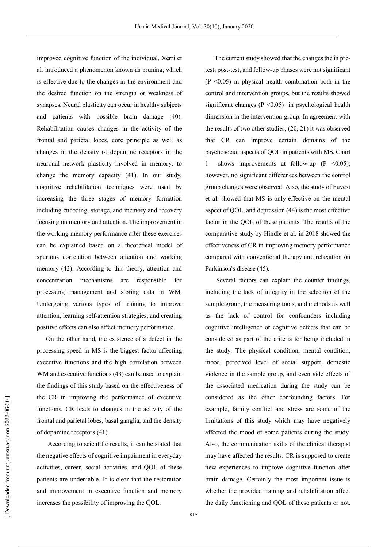improved cognitive function of the individual. Xerri et al. introduced a phenomenon known as pruning, which is effective due to the changes in the environment and the desired function on the strength or weakness of synapses. Neural plasticity can occur in healthy subjects and patients with possible brain damage (40). Rehabilitation causes changes in the activity of the frontal and parietal lobes, core principle as well as changes in the density of dopamine receptors in the neuronal network plasticity involved in memory, to change the memory capacity (41). In our study, cognitive rehabilitation techniques were used by increasing the three stages of memory formation including encoding, storage, and memory and recovery focusing on memory and attention. The improvement in the working memory performance after these exercises can be explained based on a theoretical model of spurious correlation between attention and working memory (42). According to this theory, attention and concentration mechanisms are responsible for processing management and storing data in WM. Undergoing various types of training to improve attention, learning self-attention strategies, and creating positive effects can also affect memory performance.

On the other hand, the existence of a defect in the processing speed in MS is the biggest factor affecting executive functions and the high correlation between WM and executive functions (43) can be used to explain the findings of this study based on the effectiveness of the CR in improving the performance of executive functions. CR leads to changes in the activity of the frontal and parietal lobes, basal ganglia, and the density of dopamine receptors (41).

According to scientific results, it can be stated that the negative effects of cognitive impairment in everyday activities, career, social activities, and QOL of these patients are undeniable. It is clear that the restoration and improvement in executive function and memory increases the possibility of improving the QOL.

The current study showed that the changes the in pretest, post-test, and follow-up phases were not significant  $(P \le 0.05)$  in physical health combination both in the control and intervention groups, but the results showed significant changes ( $P \le 0.05$ ) in psychological health dimension in the intervention group. In agreement with the results of two other studies, (20, 21) it was observed that CR can improve certain domains of the psychosocial aspects of QOL in patients with MS. Chart shows improvements at follow-up  $(P \le 0.05)$ ; however, no significant differences between the control group changes were observed. Also, the study of Fuvesi et al. showed that MS is only effective on the mental aspect of QOL, and depression (44) is the most effective factor in the QOL of these patients. The results of the comparative study by Hindle et al. in 2018 showed the effectiveness of CR in improving memory performance compared with conventional therapy and relaxation on Parkinson's disease (45).

Several factors can explain the counter findings, including the lack of integrity in the selection of the sample group, the measuring tools, and methods as well as the lack of control for confounders including cognitive intelligence or cognitive defects that can be considered as part of the criteria for being included in the study. The physical condition, mental condition, mood, perceived level of social support, domestic violence in the sample group, and even side effects of the associated medication during the study can be considered as the other confounding factors. For example, family conflict and stress are some of the limitations of this study which may have negatively affected the mood of some patients during the study. Also, the communication skills of the clinical therapist may have affected the results. CR is supposed to create new experiences to improve cognitive function after brain damage. Certainly the most important issue is whether the provided training and rehabilitation affect the daily functioning and QOL of these patients or not.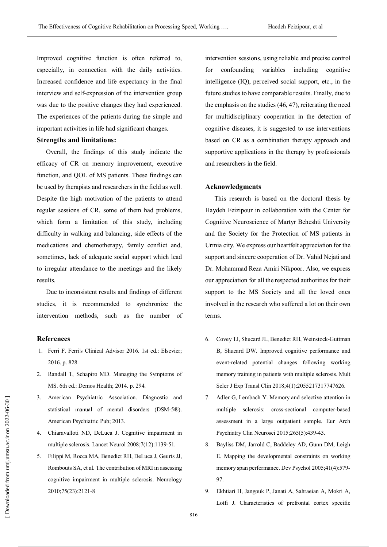Improved cognitive function is often referred to, especially, in connection with the daily activities. Increased confidence and life expectancy in the final interview and self-expression of the intervention group was due to the positive changes they had experienced. The experiences of the patients during the simple and important activities in life had significant changes.

## **Strengths and limitations:**

Overall, the findings of this study indicate the efficacy of CR on memory improvement, executive function, and QOL of MS patients. These findings can be used by therapists and researchers in the field as well. Despite the high motivation of the patients to attend regular sessions of CR, some of them had problems, which form a limitation of this study, including difficulty in walking and balancing, side effects of the medications and chemotherapy, family conflict and, sometimes, lack of adequate social support which lead to irregular attendance to the meetings and the likely results.

Due to inconsistent results and findings of different studies, it is recommended to synchronize the intervention methods, such as the number of

### **References**

- 1. Ferri F. Ferri's Clinical Advisor 2016. 1st ed.: Elsevier; 2016. p. 828.
- 2. Randall T, Schapiro MD. Managing the Symptoms of MS. 6th ed.: Demos Health; 2014. p. 294.
- 3. American Psychiatric Association. Diagnostic and statistical manual of mental disorders (DSM-5®). American Psychiatric Pub; 2013.
- 4. Chiaravalloti ND, DeLuca J. Cognitive impairment in multiple sclerosis. Lancet Neurol 2008;7(12):1139-51.
- 5. Filippi M, Rocca MA, Benedict RH, DeLuca J, Geurts JJ, Rombouts SA, et al. The contribution of MRI in assessing cognitive impairment in multiple sclerosis. Neurology 2010;75(23):2121-8

intervention sessions, using reliable and precise control for confounding variables including cognitive intelligence (IQ), perceived social support, etc., in the future studies to have comparable results. Finally, due to the emphasis on the studies (46, 47), reiterating the need for multidisciplinary cooperation in the detection of cognitive diseases, it is suggested to use interventions based on CR as a combination therapy approach and supportive applications in the therapy by professionals and researchers in the field.

## **Acknowledgments**

This research is based on the doctoral thesis by Haydeh Feizipour in collaboration with the Center for Cognitive Neuroscience of Martyr Beheshti University and the Society for the Protection of MS patients in Urmia city. We express our heartfelt appreciation for the support and sincere cooperation of Dr. Vahid Nejati and Dr. Mohammad Reza Amiri Nikpoor. Also, we express our appreciation for all the respected authorities for their support to the MS Society and all the loved ones involved in the research who suffered a lot on their own terms.

- 6. Covey TJ, Shucard JL, Benedict RH, Weinstock-Guttman B, Shucard DW. Improved cognitive performance and event-related potential changes following working memory training in patients with multiple sclerosis. Mult Scler J Exp Transl Clin 2018;4(1):2055217317747626.
- 7. Adler G, Lembach Y. Memory and selective attention in multiple sclerosis: cross-sectional computer-based assessment in a large outpatient sample. Eur Arch Psychiatry Clin Neurosci 2015;265(5):439-43.
- 8. Bayliss DM, Jarrold C, Baddeley AD, Gunn DM, Leigh E. Mapping the developmental constraints on working memory span performance. Dev Psychol 2005;41(4):579- 97.
- 9. Ekhtiari H, Jangouk P, Janati A, Sahraeian A, Mokri A, Lotfi J. Characteristics of prefrontal cortex specific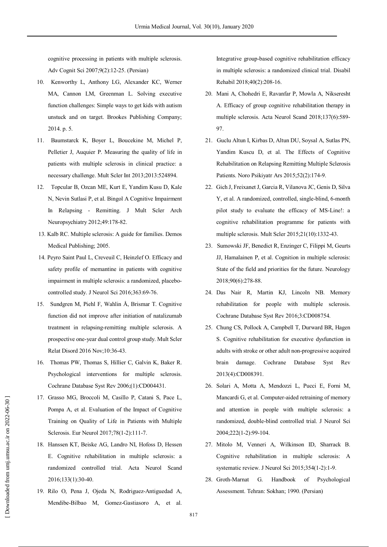cognitive processing in patients with multiple sclerosis. Adv Cognit Sci 2007;9(2):12-25. (Persian)

- 10. Kenworthy L, Anthony LG, Alexander KC, Werner MA, Cannon LM, Greenman L. Solving executive function challenges: Simple ways to get kids with autism unstuck and on target. Brookes Publishing Company; 2014. p. 5.
- 11. Baumstarck K, Boyer L, Boucekine M, Michel P, Pelletier J, Auquier P. Measuring the quality of life in patients with multiple sclerosis in clinical practice: a necessary challenge. Mult Scler Int 2013;2013:524894.
- 12. Topcular B, Ozcan ME, Kurt E, Yandim Kusu D, Kale N, Nevin Sutlasi P, et al. Bingol A Cognitive Impairment In Relapsing - Remitting. J Mult Scler Arch Neuropsychiatry 2012;49:178-82.
- 13. Kalb RC. Multiple sclerosis: A guide for families. Demos Medical Publishing; 2005.
- 14. Peyro Saint Paul L, Creveuil C, Heinzlef O. Efficacy and safety profile of memantine in patients with cognitive impairment in multiple sclerosis: a randomized, placebocontrolled study. J Neurol Sci 2016;363:69-76.
- 15. Sundgren M, Piehl F, Wahlin Å, Brismar T. Cognitive function did not improve after initiation of natalizumab treatment in relapsing-remitting multiple sclerosis. A prospective one-year dual control group study. Mult Scler Relat Disord 2016 Nov;10:36-43.
- 16. Thomas PW, Thomas S, Hillier C, Galvin K, Baker R. Psychological interventions for multiple sclerosis. Cochrane Database Syst Rev 2006;(1):CD004431.
- 17. Grasso MG, Broccoli M, Casillo P, Catani S, Pace L, Pompa A, et al. Evaluation of the Impact of Cognitive Training on Quality of Life in Patients with Multiple Sclerosis. Eur Neurol 2017;78(1-2):111-7.
- 18. Hanssen KT, Beiske AG, Landro NI, Hofoss D, Hessen E. Cognitive rehabilitation in multiple sclerosis: a randomized controlled trial. Acta Neurol Scand 2016;133(1):30-40.
- 19. Rilo O, Pena J, Ojeda N, Rodriguez-Antiguedad A, Mendibe-Bilbao M, Gomez-Gastiasoro A, et al.

Integrative group-based cognitive rehabilitation efficacy in multiple sclerosis: a randomized clinical trial. Disabil Rehabil 2018;40(2):208-16.

- 20. Mani A, Chohedri E, Ravanfar P, Mowla A, Nikseresht A. Efficacy of group cognitive rehabilitation therapy in multiple sclerosis. Acta Neurol Scand 2018;137(6):589- 97.
- 21. Guclu Altun I, Kirbas D, Altun DU, Soysal A, Sutlas PN, Yandim Kuscu D, et al. The Effects of Cognitive Rehabilitation on Relapsing Remitting Multiple Sclerosis Patients. Noro Psikiyatr Ars 2015;52(2):174-9.
- 22. Gich J, Freixanet J, Garcia R, Vilanova JC, Genis D, Silva Y, et al. A randomized, controlled, single-blind, 6-month pilot study to evaluate the efficacy of MS-Line!: a cognitive rehabilitation programme for patients with multiple sclerosis. Mult Scler 2015;21(10):1332-43.
- 23. Sumowski JF, Benedict R, Enzinger C, Filippi M, Geurts JJ, Hamalainen P, et al. Cognition in multiple sclerosis: State of the field and priorities for the future. Neurology 2018;90(6):278-88.
- 24. Das Nair R, Martin KJ, Lincoln NB. Memory rehabilitation for people with multiple sclerosis. Cochrane Database Syst Rev 2016;3:CD008754.
- 25. Chung CS, Pollock A, Campbell T, Durward BR, Hagen S. Cognitive rehabilitation for executive dysfunction in adults with stroke or other adult non-progressive acquired brain damage. Cochrane Database Syst Rev 2013(4):CD008391.
- 26. Solari A, Motta A, Mendozzi L, Pucci E, Forni M, Mancardi G, et al. Computer-aided retraining of memory and attention in people with multiple sclerosis: a randomized, double-blind controlled trial. J Neurol Sci 2004;222(1-2):99-104.
- 27. Mitolo M, Venneri A, Wilkinson ID, Sharrack B. Cognitive rehabilitation in multiple sclerosis: A systematic review. J Neurol Sci 2015;354(1-2):1-9.
- 28. Groth-Marnat G. Handbook of Psychological Assessment. Tehran: Sokhan; 1990. (Persian)